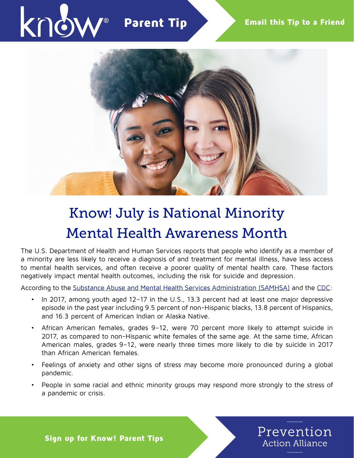

## Know! July is National Minority Mental Health Awareness Month

The U.S. Department of Health and Human Services reports that people who identify as a member of a minority are less likely to receive a diagnosis of and treatment for mental illness, have less access to mental health services, and often receive a poorer quality of mental health care. These factors negatively impact mental health outcomes, including the risk for suicide and depression.

According to the [Substance Abuse and Mental Health Services Administration \(SAMHSA\)](https://www.samhsa.gov/data/sites/default/files/cbhsq-reports/National-BH-BarometerVolume5.pdf) and the [CDC](https://www.cdc.gov/coronavirus/2019-ncov/daily-life-coping/managing-stress-anxiety.html):

- In 2017, among youth aged 12–17 in the U.S., 13.3 percent had at least one major depressive episode in the past year including 9.5 percent of non-Hispanic blacks, 13.8 percent of Hispanics, and 16.3 percent of American Indian or Alaska Native.
- African American females, grades 9–12, were 70 percent more likely to attempt suicide in 2017, as compared to non-Hispanic white females of the same age. At the same time, African American males, grades 9–12, were nearly three times more likely to die by suicide in 2017 than African American females.
- Feelings of anxiety and other signs of stress may become more pronounced during a global pandemic.
- People in some racial and ethnic minority groups may respond more strongly to the stress of a pandemic or crisis.



Sign up for Know! Parent Tips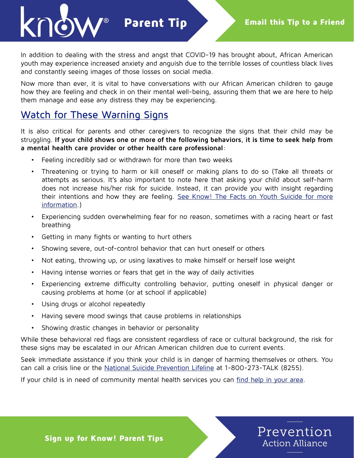Parent Tip

In addition to dealing with the stress and angst that COVID-19 has brought about, African American youth may experience increased anxiety and anguish due to the terrible losses of countless black lives and constantly seeing images of those losses on social media.

Now more than ever, it is vital to have conversations with our African American children to gauge how they are feeling and check in on their mental well-being, assuring them that we are here to help them manage and ease any distress they may be experiencing.

## Watch for These Warning Signs

It is also critical for parents and other caregivers to recognize the signs that their child may be struggling. **If your child shows one or more of the following behaviors, it is time to seek help from a mental health care provider or other health care professional**:

- Feeling incredibly sad or withdrawn for more than two weeks
- Threatening or trying to harm or kill oneself or making plans to do so (Take all threats or attempts as serious. It's also important to note here that asking your child about self-harm does not increase his/her risk for suicide. Instead, it can provide you with insight regarding their intentions and how they are feeling. [See Know! The Facts on Youth Suicide for more](https://preventionactionalliance.org/advocate/newsletters/know-the-facts-on-youth-suicide/) [information](https://preventionactionalliance.org/advocate/newsletters/know-the-facts-on-youth-suicide/).)
- Experiencing sudden overwhelming fear for no reason, sometimes with a racing heart or fast breathing
- Getting in many fights or wanting to hurt others
- Showing severe, out-of-control behavior that can hurt oneself or others
- Not eating, throwing up, or using laxatives to make himself or herself lose weight
- Having intense worries or fears that get in the way of daily activities
- Experiencing extreme difficulty controlling behavior, putting oneself in physical danger or causing problems at home (or at school if applicable)
- Using drugs or alcohol repeatedly
- Having severe mood swings that cause problems in relationships
- Showing drastic changes in behavior or personality

While these behavioral red flags are consistent regardless of race or cultural background, the risk for these signs may be escalated in our African American children due to current events.

Seek immediate assistance if you think your child is in danger of harming themselves or others. You can call a crisis line or the [National Suicide Prevention Lifeline](https://suicidepreventionlifeline.org/) at 1-800-273-TALK (8255).

If your child is in need of community mental health services you can [find help in your area](https://www.mentalhealth.gov/get-help/immediate-help).



Sign up for Know! Parent Tips